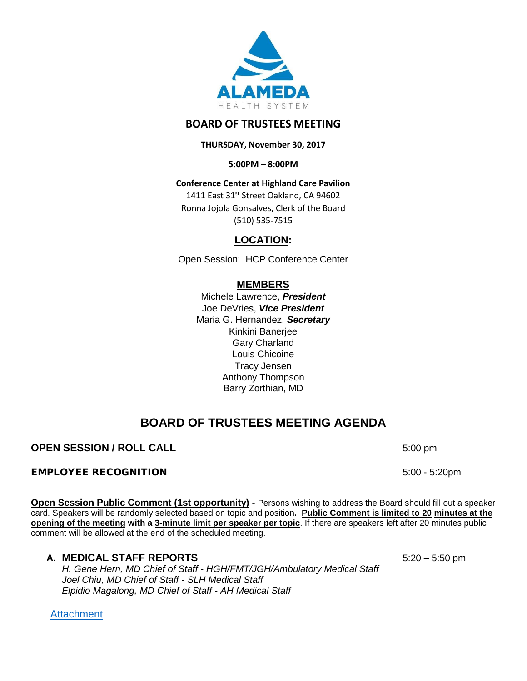

# **BOARD OF TRUSTEES MEETING**

**THURSDAY, November 30, 2017**

**5:00PM – 8:00PM**

**Conference Center at Highland Care Pavilion**

1411 East 31st Street Oakland, CA 94602 Ronna Jojola Gonsalves, Clerk of the Board (510) 535-7515

# **LOCATION:**

Open Session: HCP Conference Center

# **MEMBERS**

Michele Lawrence, *President*  Joe DeVries, *Vice President*  Maria G. Hernandez, *Secretary* Kinkini Banerjee Gary Charland Louis Chicoine Tracy Jensen Anthony Thompson Barry Zorthian, MD

# **BOARD OF TRUSTEES MEETING AGENDA**

# **OPEN SESSION / ROLL CALL** 5:00 pm

## EMPLOYEE RECOGNITION 5:00 - 5:20pm

**Open Session Public Comment (1st opportunity) -** Persons wishing to address the Board should fill out a speaker card. Speakers will be randomly selected based on topic and position**. Public Comment is limited to 20 minutes at the opening of the meeting with a 3-minute limit per speaker per topic**. If there are speakers left after 20 minutes public comment will be allowed at the end of the scheduled meeting.

# **A. MEDICAL STAFF REPORTS** 5:20 – 5:50 pm

*H. Gene Hern, MD Chief of Staff - HGH/FMT/JGH/Ambulatory Medical Staff Joel Chiu, MD Chief of Staff - SLH Medical Staff Elpidio Magalong, MD Chief of Staff - AH Medical Staff*

**[Attachment](http://www.alamedahealthsystem.org/wp-content/uploads/2017/11/20171130-BOT-Tab-A-Medical-Staff-Reports.pdf)**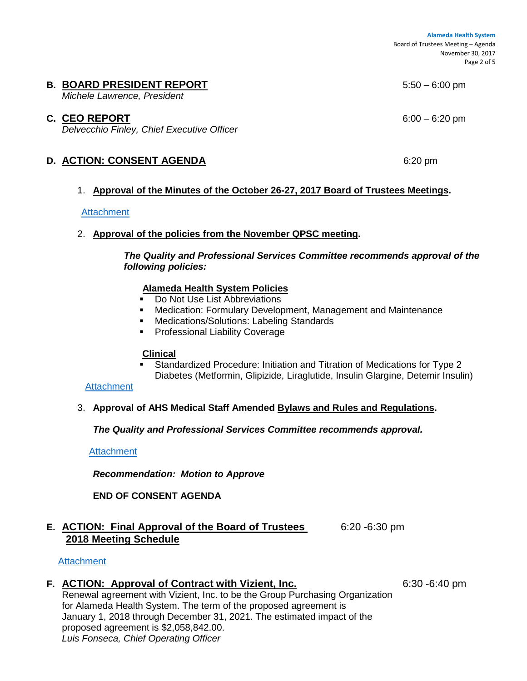**Alameda Health System**  Board of Trustees Meeting – Agenda November 30, 2017 Page 2 of 5

## **B. BOARD PRESIDENT REPORT 5:50 – 6:00 pm**

*Michele Lawrence, President*

### **C. CEO REPORT** 6:00 – 6:20 pm

*Delvecchio Finley, Chief Executive Officer*

## **D. ACTION: CONSENT AGENDA** 6:20 pm

#### 1. **Approval of the Minutes of the October 26-27, 2017 Board of Trustees Meetings.**

#### **[Attachment](http://www.alamedahealthsystem.org/wp-content/uploads/2017/11/20171130-BOT-Tab-D1-Minutes.pdf)**

## 2. **Approval of the policies from the November QPSC meeting.**

*The Quality and Professional Services Committee recommends approval of the following policies:*

#### **Alameda Health System Policies**

- Do Not Use List Abbreviations
- Medication: Formulary Development, Management and Maintenance
- Medications/Solutions: Labeling Standards
- Professional Liability Coverage

#### **Clinical**

 Standardized Procedure: Initiation and Titration of Medications for Type 2 Diabetes (Metformin, Glipizide, Liraglutide, Insulin Glargine, Detemir Insulin)

#### **[Attachment](http://www.alamedahealthsystem.org/wp-content/uploads/2017/11/20171130-BOT-Tab-D2-Policies.pdf)**

#### 3. **Approval of AHS Medical Staff Amended Bylaws and Rules and Regulations.**

*The Quality and Professional Services Committee recommends approval.*

**[Attachment](http://www.alamedahealthsystem.org/wp-content/uploads/2017/11/20171130-BOT-Tab-D3-Bylaws.pdf)** 

*Recommendation: Motion to Approve*

## **END OF CONSENT AGENDA**

## **E. ACTION: Final Approval of the Board of Trustees** 6:20 -6:30 pm **2018 Meeting Schedule**

#### **[Attachment](http://www.alamedahealthsystem.org/wp-content/uploads/2017/11/20171130-BOT-Tab-E-2018-Meeting-Schedule.pdf)**

## **F. ACTION: Approval of Contract with Vizient, Inc.** 6:30 -6:40 pm

Renewal agreement with Vizient, Inc. to be the Group Purchasing Organization for Alameda Health System. The term of the proposed agreement is January 1, 2018 through December 31, 2021. The estimated impact of the proposed agreement is \$2,058,842.00. *Luis Fonseca, Chief Operating Officer*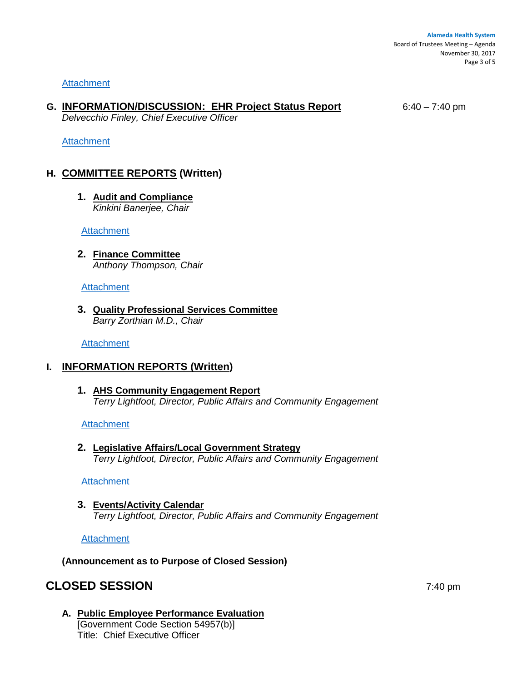#### **[Attachment](http://www.alamedahealthsystem.org/wp-content/uploads/2017/11/20171130-BOT-Tab-F-Vizient.pdf)**

## **G. INFORMATION/DISCUSSION: EHR Project Status Report** 6:40 – 7:40 pm

*Delvecchio Finley, Chief Executive Officer*

### **[Attachment](http://www.alamedahealthsystem.org/wp-content/uploads/2017/11/20171130-BOT-Tab-G-EHR.pdf)**

# **H. COMMITTEE REPORTS (Written)**

**1. Audit and Compliance**  *Kinkini Banerjee, Chair*

**[Attachment](http://www.alamedahealthsystem.org/wp-content/uploads/2017/11/20171130-BOT-Tab-H1-Audit-Report.pdf)** 

**2. Finance Committee** *Anthony Thompson, Chair*

**[Attachment](http://www.alamedahealthsystem.org/wp-content/uploads/2017/11/20171130-BOT-Tab-H2-Finance-Report.pdf)** 

**3. Quality Professional Services Committee** *Barry Zorthian M.D., Chair*

**[Attachment](http://www.alamedahealthsystem.org/wp-content/uploads/2017/11/20171130-BOT-Tab-H3-QPSC-Report.pdf)** 

## **I. INFORMATION REPORTS (Written)**

**1. AHS Community Engagement Report** *Terry Lightfoot, Director, Public Affairs and Community Engagement*

**[Attachment](http://www.alamedahealthsystem.org/wp-content/uploads/2017/11/20171130-BOT-Tab-I1-Community-Engagement.pdf)** 

**2. Legislative Affairs/Local Government Strategy**  *Terry Lightfoot, Director, Public Affairs and Community Engagement*

**[Attachment](http://www.alamedahealthsystem.org/wp-content/uploads/2017/11/20171130-BOT-Tab-I2-Legislative.pdf)** 

# **3. Events/Activity Calendar**

*Terry Lightfoot, Director, Public Affairs and Community Engagement*

**[Attachment](http://www.alamedahealthsystem.org/wp-content/uploads/2017/11/20171130-BOT-Tab-I3-Events-Calendar.pdf)** 

**(Announcement as to Purpose of Closed Session)**

# **CLOSED SESSION** 7:40 pm

**A. Public Employee Performance Evaluation** [Government Code Section 54957(b)] Title: Chief Executive Officer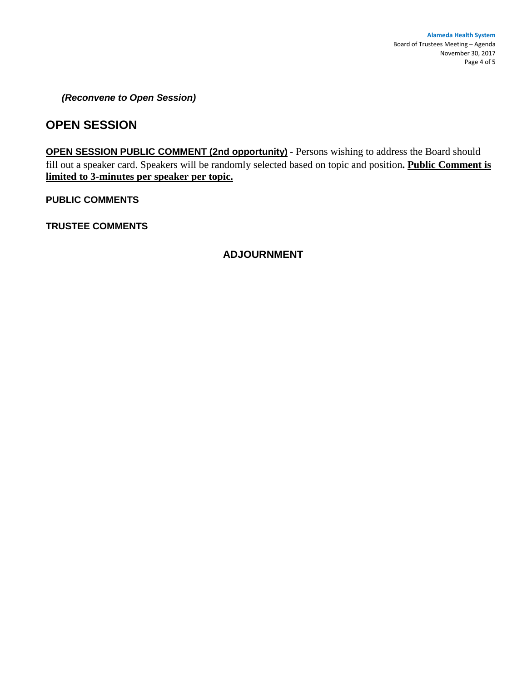*(Reconvene to Open Session)* 

# **OPEN SESSION**

**OPEN SESSION PUBLIC COMMENT (2nd opportunity) -** Persons wishing to address the Board should fill out a speaker card. Speakers will be randomly selected based on topic and position**. Public Comment is limited to 3-minutes per speaker per topic.**

**PUBLIC COMMENTS**

**TRUSTEE COMMENTS** 

## **ADJOURNMENT**